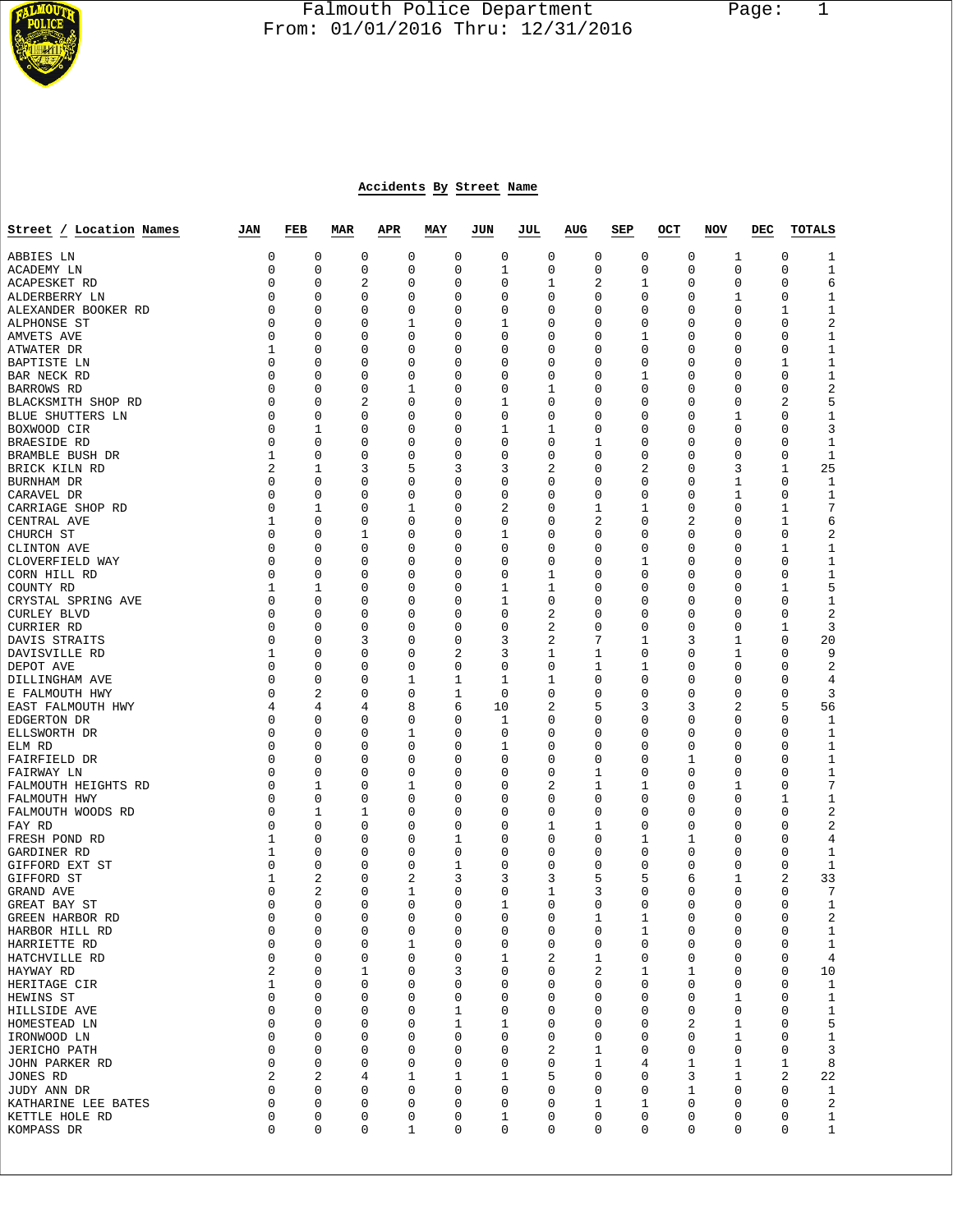

## Falmouth Police Department Page: 1  $\frac{1}{3}$  From: 01/01/2016 Thru: 12/31/2016

## **Accidents By Street Name**

| Street / Location Names         | JAN                     | FEB            | MAR                     | APR         | MAY                        | JUN              | JUL            | AUG         | SEP      | OCT | NOV                     | DEC              | <b>TOTALS</b>                        |
|---------------------------------|-------------------------|----------------|-------------------------|-------------|----------------------------|------------------|----------------|-------------|----------|-----|-------------------------|------------------|--------------------------------------|
| ABBIES LN                       | 0                       | 0              | 0                       | 0           | 0                          | 0                | 0              | 0           | 0        |     | 0                       | 1                | 0<br>1                               |
| ACADEMY LN                      | 0                       | 0              | 0                       | 0           | 0                          | 1                | 0              | 0           | 0        |     | 0                       | 0                | 0<br>1                               |
| ACAPESKET RD                    | $\Omega$                | 0              | 2                       | 0           | 0                          | 0                | 1              | 2           | 1        |     | 0                       | 0                | 6<br>0                               |
| ALDERBERRY LN                   | $\Omega$                | 0              | 0                       | 0           | 0                          | 0                | 0              | 0           | 0        |     | 0                       | 1                | $1\,$<br>0                           |
| ALEXANDER BOOKER RD             | 0                       | 0              | 0                       | 0           | 0                          | 0                | 0              | 0           | 0        |     | 0                       | 0                | 1<br>$\mathbf 1$                     |
| ALPHONSE ST                     | 0                       | 0              | 0                       | 1           | 0                          | 1                | 0              | 0           | 0        |     | 0                       | 0                | 2<br>0                               |
| AMVETS AVE                      | 0                       | 0              | 0                       | 0           | 0                          | 0                | 0              | 0           | 1        |     | 0                       | 0                | $1\,$<br>0                           |
| ATWATER DR                      | 1<br>$\Omega$           | 0              | 0                       | 0           | 0                          | 0                | 0              | 0           | 0        |     | 0                       | 0                | 0<br>$\mathbf 1$                     |
| BAPTISTE LN<br>BAR NECK RD      | $\Omega$                | 0<br>0         | 0<br>0                  | 0<br>0      | 0<br>0                     | 0<br>0           | 0<br>0         | 0<br>0      | 0<br>1   |     | 0<br>0                  | 0<br>0           | 1<br>$\mathbf 1$<br>$\mathbf 1$<br>0 |
| BARROWS RD                      | 0                       | 0              | 0                       | 1           | 0                          | 0                | 1              | 0           | 0        |     | 0                       | 0                | $\sqrt{2}$<br>0                      |
| BLACKSMITH SHOP RD              | 0                       | 0              | 2                       | 0           | 0                          | 1                | 0              | 0           | 0        |     | 0                       | 0                | 5<br>2                               |
| BLUE SHUTTERS LN                | 0                       | 0              | 0                       | 0           | 0                          | 0                | 0              | 0           | 0        |     | 0                       | 1                | 0<br>1                               |
| BOXWOOD CIR                     | 0                       | 1              | 0                       | 0           | 0                          | 1                | 1              | 0           | 0        |     | 0                       | 0                | 3<br>0                               |
| BRAESIDE RD                     | $\Omega$                | 0              | 0                       | 0           | 0                          | 0                | 0              | 1           | 0        |     | 0                       | 0                | 0<br>1                               |
| BRAMBLE BUSH DR                 | 1                       | 0              | 0                       | 0           | 0                          | 0                | 0              | 0           | 0        |     | 0                       | 0                | $\mathbf{1}$<br>0                    |
| BRICK KILN RD                   | 2                       | 1              | 3                       | 5           | 3                          | 3                | 2              | 0           | 2        |     | 0                       | 3                | 25<br>1                              |
| BURNHAM DR                      | 0                       | 0              | 0                       | 0           | 0                          | 0                | 0              | 0           | 0        |     | 0                       | 1                | 0<br>$\mathbf 1$                     |
| CARAVEL DR                      | 0                       | 0              | 0                       | 0           | 0                          | 0                | 0              | 0           | 0        |     | 0                       | 1                | 0<br>$\mathbf 1$                     |
| CARRIAGE SHOP RD                | 0                       | 1              | 0                       | 1           | 0                          | 2                | 0              | 1           | 1        |     | 0                       | 0                | 1<br>7                               |
| CENTRAL AVE                     | 1                       | 0              | 0                       | 0           | 0                          | 0                | 0              | 2           | 0        |     | 2                       | 0                | 6<br>1                               |
| CHURCH ST                       | 0                       | 0              | 1                       | 0           | 0                          | 1                | 0              | 0           | 0        |     | 0                       | 0                | 0<br>2                               |
| CLINTON AVE                     | 0                       | 0              | 0                       | 0           | 0                          | 0                | 0              | 0           | 0        |     | 0                       | 0                | 1<br>$\mathbf 1$                     |
| CLOVERFIELD WAY<br>CORN HILL RD | 0<br>0                  | 0<br>0         | 0<br>0                  | 0<br>0      | 0<br>0                     | 0<br>0           | 0              | 0<br>0      | 1<br>0   |     | 0<br>0                  | 0<br>0           | $1\,$<br>0<br>0                      |
| COUNTY RD                       | 1                       | 1              | 0                       | 0           | 0                          | 1                | 1<br>1         | 0           | 0        |     | 0                       | 0                | $\mathbf 1$<br>5<br>1                |
| CRYSTAL SPRING AVE              | $\Omega$                | 0              | 0                       | 0           | 0                          | 1                | 0              | 0           | 0        |     | 0                       | 0                | 0<br>1                               |
| <b>CURLEY BLVD</b>              | $\Omega$                | 0              | 0                       | 0           | 0                          | 0                | 2              | 0           | 0        |     | 0                       | 0                | $\sqrt{2}$<br>0                      |
| CURRIER RD                      | 0                       | 0              | 0                       | 0           | 0                          | 0                | 2              | 0           | 0        |     | 0                       | 0                | 3<br>1                               |
| DAVIS STRAITS                   | 0                       | 0              | 3                       | 0           | 0                          | 3                | 2              | 7           | 1        |     | 3                       | 1                | 20<br>0                              |
| DAVISVILLE RD                   | 1                       | 0              | 0                       | 0           | 2                          | 3                | 1              | 1           | 0        |     | 0                       | 1                | 9<br>0                               |
| DEPOT AVE                       | 0                       | 0              | 0                       | 0           | 0                          | 0                | 0              | 1           | 1        |     | 0                       | 0                | 0<br>2                               |
| DILLINGHAM AVE                  | $\Omega$                | 0              | 0                       | 1           | 1                          | 1                | 1              | 0           | 0        |     | 0                       | 0                | 0<br>4                               |
| E FALMOUTH HWY                  | $\Omega$                | 2              | 0                       | 0           | 1                          | $\mathbf 0$      | 0              | 0           | 0        |     | 0                       | 0                | 3<br>0                               |
| EAST FALMOUTH HWY               | 4                       | 4              | 4                       | 8           | 6                          | 10               | 2              | 5           | 3        |     | 3                       | 2                | 5<br>56                              |
| EDGERTON DR                     | 0                       | 0              | 0                       | 0           | 0                          | 1                | 0              | 0           | 0        |     | 0                       | 0                | 0<br>1                               |
| ELLSWORTH DR                    | $\Omega$                | 0              | 0                       | 1           | 0                          | 0                | 0              | 0           | 0        |     | 0                       | 0                | 0<br>$\mathbf 1$                     |
| ELM RD                          | $\Omega$<br>$\Omega$    | 0<br>0         | 0                       | 0           | 0                          | 1<br>0           | 0              | 0<br>0      | 0<br>0   |     | 0                       | 0                | 0<br>1<br>0                          |
| FAIRFIELD DR<br>FAIRWAY LN      | $\Omega$                | 0              | 0<br>$\mathbf 0$        | 0<br>0      | 0<br>0                     | 0                | 0<br>0         | 1           | 0        |     | 1<br>0                  | 0<br>0           | $\mathbf 1$<br>$1\,$<br>0            |
| FALMOUTH HEIGHTS RD             | 0                       | 1              | 0                       | 1           | 0                          | 0                | 2              | 1           | 1        |     | 0                       | 1                | 7<br>0                               |
| FALMOUTH HWY                    | 0                       | 0              | 0                       | 0           | 0                          | 0                | 0              | 0           | 0        |     | 0                       | 0                | 1<br>$\mathbf 1$                     |
| FALMOUTH WOODS RD               | $\Omega$                | 1              | 1                       | 0           | 0                          | 0                | 0              | 0           | 0        |     | 0                       | 0                | 2<br>0                               |
| FAY RD                          | 0                       | 0              | 0                       | 0           | 0                          | 0                | 1              | 1           | 0        |     | 0                       | 0                | 0<br>2                               |
| FRESH POND RD                   | 1                       | 0              | 0                       | 0           | 1                          | 0                | 0              | 0           | 1        |     | 1                       | 0                | 0<br>4                               |
| GARDINER RD                     | 1                       | 0              | 0                       | 0           | 0                          | 0                | 0              | 0           | 0        |     | 0                       | 0                | 0<br>$\mathbf 1$                     |
| GIFFORD EXT ST                  | 0                       | 0              | 0                       | 0           | 1                          | 0                | 0              | 0           | 0        |     | 0                       | 0                | 0<br>1                               |
| GIFFORD ST                      | 1                       | 2              | 0                       |             | 2<br>3                     | 3                | 3              | 5           | 5        |     | 6                       | 1                | 2<br>33                              |
| GRAND AVE                       | 0                       | $\overline{2}$ | 0                       | 1           | 0                          | 0                | 1              | 3           | 0        |     | 0                       | 0                | 7<br>0                               |
| GREAT BAY ST                    | 0                       | 0              | 0                       | 0           | 0                          | 1                | 0              | 0           | 0        |     | 0                       | 0                | 0<br>1                               |
| GREEN HARBOR RD                 | $\Omega$<br>0           | $\Omega$<br>0  | $\Omega$<br>$\mathbf 0$ | $\mathbf 0$ | 0<br>0<br>$\mathbf 0$      | 0<br>$\mathbf 0$ | 0<br>0         | 1<br>0      | 1<br>1   |     | $\Omega$<br>$\mathbf 0$ | 0<br>$\mathbf 0$ | 2<br>0<br>$\mathbf 0$<br>1           |
| HARBOR HILL RD<br>HARRIETTE RD  | 0                       | 0              | 0                       | 1           | 0                          | 0                | 0              | 0           | 0        |     | 0                       | 0                | $\mathbf{1}$<br>0                    |
| HATCHVILLE RD                   | 0                       | 0              | $\mathbf 0$             |             | 0<br>0                     | 1                | 2              | 1           | 0        |     | 0                       | 0                | 0<br>4                               |
| HAYWAY RD                       | 2                       | 0              | $\mathbf{1}$            | 0           | 3                          | $\mathbf 0$      | 0              | 2           | 1        |     | 1                       | 0                | $\mathbf 0$<br>10                    |
| HERITAGE CIR                    | 1                       | 0              | 0                       | 0           | 0                          | 0                | 0              | 0           | 0        |     | 0                       | 0                | 0<br>1                               |
| HEWINS ST                       | $\mathbf 0$             | 0              | $\mathbf 0$             | 0           | 0                          | $\mathbf 0$      | 0              | $\mathbf 0$ | 0        |     | 0                       | 1                | 0<br>$\mathbf{1}$                    |
| HILLSIDE AVE                    | $\mathbf 0$             | 0              | $\mathbf 0$             | 0           | $\mathbf{1}$               | $\mathbf 0$      | 0              | 0           | 0        |     | $\mathbf 0$             | $\mathbf 0$      | $\mathbf 0$<br>$\mathbf{1}$          |
| HOMESTEAD LN                    | 0                       | 0              | 0                       | 0           | 1                          | 1                | 0              | 0           | 0        |     | 2                       | 1                | 5<br>0                               |
| IRONWOOD LN                     | $\mathbf 0$             | 0              | $\mathbf 0$             | 0           | $\mathsf 0$                | $\mathbf 0$      | 0              | 0           | 0        |     | 0                       | 1                | $\mathbf 1$<br>0                     |
| <b>JERICHO PATH</b>             | $\mathbf 0$             | 0              | $\mathbf 0$             |             | 0<br>0                     | $\mathbf 0$      | $\overline{2}$ | 1           | 0        |     | $\mathbf 0$             | 0                | 3<br>0                               |
| JOHN PARKER RD                  | $\mathbf 0$             | 0              | 0                       | 0           | 0                          | 0                | 0              | 1           | 4        |     | 1                       | 1                | $\,8\,$<br>1                         |
| JONES RD                        | $\overline{\mathbf{c}}$ | $\overline{a}$ | 4                       |             | 1<br>1                     | 1                | 5              | $\Omega$    | $\Omega$ |     | 3                       | 1                | 22<br>2                              |
| JUDY ANN DR                     | $\mathbf 0$             | 0              | $\mathbf 0$             |             | 0<br>0                     | $\mathbf 0$      | 0              | $\mathbf 0$ | 0        |     | $\mathbf{1}$            | 0                | 0<br>$\mathbf{1}$                    |
| KATHARINE LEE BATES             | 0<br>0                  | 0<br>0         | 0<br>$\mathbf 0$        | 0<br>0      | 0<br>$\mathsf 0$           | 0<br>1           | 0<br>0         | 1<br>0      | 1<br>0   |     | 0<br>0                  | 0<br>0           | $\overline{2}$<br>0<br>0             |
| KETTLE HOLE RD<br>KOMPASS DR    | $\mathbf 0$             | $\mathbf 0$    | $\mathbf 0$             |             | $\mathbf 1$<br>$\mathsf 0$ | $\mathbf 0$      | 0              | $\mathbf 0$ | 0        |     | $\mathbf 0$             | 0                | $\mathbf 1$<br>0<br>$\mathbf{1}$     |
|                                 |                         |                |                         |             |                            |                  |                |             |          |     |                         |                  |                                      |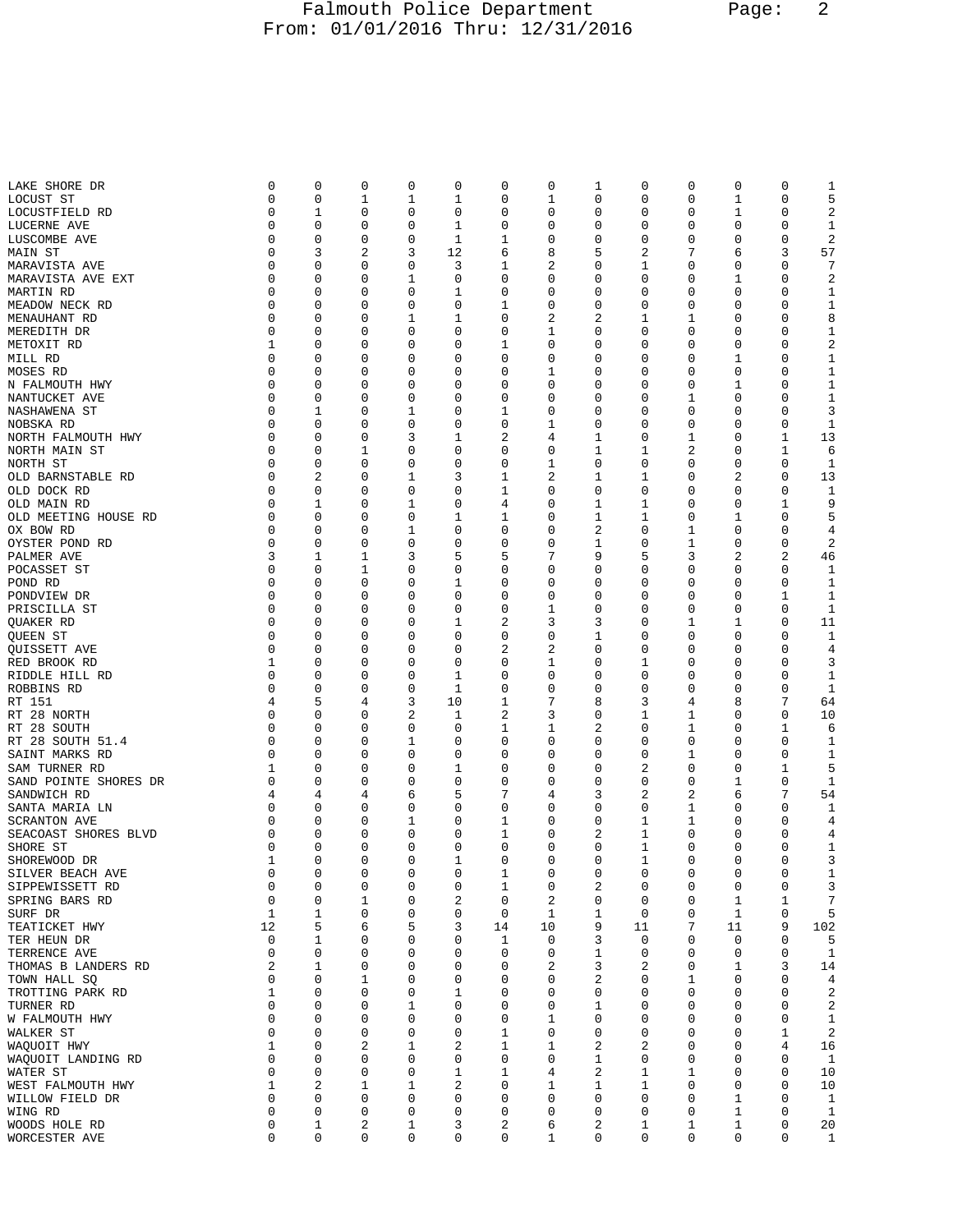## Falmouth Police Department Page: 2 From: 01/01/2016 Thru: 12/31/2016

| LAKE SHORE DR         | 0           | 0              | 0 | 0           | 0  | 0  | 0  | 1              | 0           | 0 | 0  | 0           | 1            |
|-----------------------|-------------|----------------|---|-------------|----|----|----|----------------|-------------|---|----|-------------|--------------|
| LOCUST ST             | 0           | 0              | 1 | 1           | 1  | 0  | 1  | 0              | 0           | 0 | 1  | 0           | 5            |
|                       |             |                |   |             |    |    |    |                |             |   |    |             |              |
| LOCUSTFIELD RD        | 0           | 1              | 0 | 0           | 0  | 0  | 0  | 0              | 0           | 0 | 1  | 0           | 2            |
| LUCERNE AVE           | 0           | 0              | 0 | 0           | 1  | 0  | 0  | 0              | 0           | 0 | 0  | 0           | 1            |
|                       |             |                |   |             |    |    |    |                |             |   |    |             |              |
| LUSCOMBE AVE          | 0           | 0              | 0 | 0           | 1  | 1  | 0  | 0              | 0           | 0 | 0  | 0           | 2            |
| MAIN ST               | 0           | 3              | 2 | 3           | 12 | 6  | 8  | 5              | 2           | 7 | 6  | 3           | 57           |
|                       |             |                |   |             |    |    |    |                |             |   |    |             |              |
| MARAVISTA AVE         | 0           | 0              | 0 | 0           | 3  | 1  | 2  | 0              | 1           | 0 | 0  | $\mathbf 0$ | 7            |
| MARAVISTA AVE EXT     | 0           | 0              | 0 | 1           | 0  | 0  | 0  | 0              | 0           | 0 | 1  | 0           | 2            |
|                       |             |                |   |             |    |    |    |                |             |   |    |             |              |
| MARTIN RD             | 0           | 0              | 0 | 0           | 1  | 0  | 0  | 0              | 0           | 0 | 0  | 0           | 1            |
|                       | 0           | 0              | 0 | 0           | 0  | 1  | 0  | 0              | 0           | 0 | 0  | 0           | $\mathbf 1$  |
| MEADOW NECK RD        |             |                |   |             |    |    |    |                |             |   |    |             |              |
| MENAUHANT RD          | 0           | 0              | 0 | 1           | 1  | 0  | 2  | 2              | 1           | 1 | 0  | 0           | 8            |
|                       | 0           |                |   | 0           | 0  | 0  | 1  | 0              | 0           |   | 0  | 0           |              |
| MEREDITH DR           |             | 0              | 0 |             |    |    |    |                |             | 0 |    |             | 1            |
| METOXIT RD            | 1           | 0              | 0 | 0           | 0  | 1  | 0  | 0              | 0           | 0 | 0  | $\mathbf 0$ | 2            |
|                       | 0           | 0              |   | 0           | 0  | 0  | 0  | 0              | 0           | 0 | 1  | 0           |              |
| MILL RD               |             |                | 0 |             |    |    |    |                |             |   |    |             | 1            |
| MOSES RD              | 0           | 0              | 0 | 0           | 0  | 0  | 1  | 0              | 0           | 0 | 0  | 0           | 1            |
|                       | 0           | 0              | 0 | 0           | 0  | 0  | 0  | 0              | 0           | 0 | 1  | 0           |              |
| N FALMOUTH HWY        |             |                |   |             |    |    |    |                |             |   |    |             | 1            |
| NANTUCKET AVE         | 0           | 0              | 0 | 0           | 0  | 0  | 0  | 0              | 0           | 1 | 0  | 0           | 1            |
|                       |             |                |   |             |    |    |    |                |             |   |    |             |              |
| NASHAWENA ST          | 0           | 1              | 0 | 1           | 0  | 1  | 0  | 0              | 0           | 0 | 0  | 0           | 3            |
| NOBSKA RD             | 0           | 0              | 0 | 0           | 0  | 0  | 1  | 0              | 0           | 0 | 0  | 0           | 1            |
|                       |             |                |   |             |    |    |    |                |             |   |    |             |              |
| NORTH FALMOUTH HWY    | 0           | 0              | 0 | 3           | 1  | 2  | 4  | 1              | 0           | 1 | 0  | 1           | 13           |
| NORTH MAIN ST         | 0           | 0              | 1 | 0           | 0  | 0  | 0  | 1              | 1           | 2 | 0  | $\mathbf 1$ | 6            |
|                       | 0           | 0              |   |             |    |    |    |                |             |   |    |             |              |
| NORTH ST              |             |                | 0 | 0           | 0  | 0  | 1  | 0              | 0           | 0 | 0  | 0           | 1            |
| OLD BARNSTABLE RD     | 0           | 2              | 0 | $\mathbf 1$ | 3  | 1  | 2  | 1              | 1           | 0 | 2  | 0           | 13           |
|                       |             |                |   |             |    |    |    |                |             |   |    |             |              |
| OLD DOCK RD           | 0           | 0              | 0 | 0           | 0  | 1  | 0  | 0              | 0           | 0 | 0  | 0           | 1            |
| OLD MAIN RD           | 0           | 1              | 0 | 1           | 0  | 4  | 0  | 1              | 1           | 0 | 0  | 1           | 9            |
|                       |             |                |   |             |    |    |    |                |             |   |    |             |              |
| OLD MEETING HOUSE RD  | 0           | 0              | 0 | 0           | 1  | 1  | 0  | 1              | 1           | 0 | 1  | 0           | 5            |
| OX BOW RD             | 0           | 0              | 0 | 1           | 0  | 0  | 0  | 2              | 0           | 1 | 0  | 0           | 4            |
|                       |             |                |   |             |    |    |    |                |             |   |    |             |              |
| OYSTER POND RD        | 0           | 0              | 0 | 0           | 0  | 0  | 0  | 1              | 0           | 1 | 0  | 0           | 2            |
| PALMER AVE            | 3           | 1              | 1 | 3           | 5  | 5  | 7  | 9              | 5           | 3 | 2  | 2           | 46           |
|                       |             |                |   |             |    |    |    |                |             |   |    |             |              |
| POCASSET ST           | 0           | 0              | 1 | 0           | 0  | 0  | 0  | 0              | 0           | 0 | 0  | 0           | 1            |
| POND RD               | 0           | 0              | 0 | 0           | 1  | 0  | 0  | 0              | 0           | 0 | 0  | 0           | 1            |
|                       |             |                |   |             |    |    |    |                |             |   |    |             |              |
| PONDVIEW DR           | 0           | 0              | 0 | 0           | 0  | 0  | 0  | 0              | 0           | 0 | 0  | 1           | 1            |
| PRISCILLA ST          | 0           | 0              | 0 | 0           | 0  | 0  | 1  | 0              | 0           | 0 | 0  | 0           | 1            |
|                       |             |                |   |             |    |    |    |                |             |   |    |             |              |
| QUAKER RD             | 0           | 0              | 0 | 0           | 1  | 2  | 3  | 3              | 0           | 1 | 1  | 0           | 11           |
| QUEEN ST              | 0           | 0              | 0 | 0           | 0  | 0  | 0  | 1              | 0           | 0 | 0  | 0           | $\mathbf 1$  |
|                       |             |                |   |             |    |    |    |                |             |   |    |             |              |
| QUISSETT AVE          | 0           | 0              | 0 | 0           | 0  | 2  | 2  | 0              | 0           | 0 | 0  | 0           | 4            |
| RED BROOK RD          | 1           | 0              | 0 | 0           | 0  | 0  | 1  | 0              | 1           | 0 | 0  | $\mathbf 0$ | 3            |
|                       |             |                |   |             |    |    |    |                |             |   |    |             |              |
| RIDDLE HILL RD        | 0           | 0              | 0 | 0           | 1  | 0  | 0  | 0              | 0           | 0 | 0  | 0           | 1            |
| ROBBINS RD            | 0           | 0              | 0 | 0           | 1  | 0  | 0  | 0              | 0           | 0 | 0  | 0           | 1            |
|                       |             |                |   |             |    |    |    |                |             |   |    |             |              |
| RT 151                | 4           | 5              | 4 | 3           | 10 | 1  | 7  | 8              | 3           | 4 | 8  | 7           | 64           |
| RT 28 NORTH           | 0           | 0              | 0 | 2           | 1  | 2  | 3  | 0              | 1           | 1 | 0  | 0           | 10           |
|                       |             |                |   |             |    |    |    |                |             |   |    |             |              |
| RT 28 SOUTH           | 0           | 0              | 0 | 0           | 0  | 1  | 1  | 2              | 0           | 1 | 0  | 1           | 6            |
| RT 28 SOUTH 51.4      | 0           | 0              | 0 | $\mathbf 1$ | 0  | 0  | 0  | 0              | 0           | 0 | 0  | 0           | 1            |
|                       |             |                |   |             |    |    |    |                |             |   |    |             |              |
| SAINT MARKS RD        | 0           | 0              | 0 | 0           | 0  | 0  | 0  | 0              | 0           | 1 | 0  | 0           | 1            |
| SAM TURNER RD         | 1           | 0              | 0 | 0           | 1  | 0  | 0  | 0              | 2           | 0 | 0  | 1           | 5            |
|                       |             |                |   |             |    |    |    |                |             |   |    |             |              |
| SAND POINTE SHORES DR | 0           | 0              | 0 | 0           | 0  | 0  | 0  | 0              | 0           | 0 | 1  | 0           | 1            |
| SANDWICH RD           | 4           | 4              | 4 | 6           | 5  | 7  | 4  | 3              | 2           | 2 | 6  | 7           | 54           |
|                       |             |                |   |             |    |    |    |                |             |   |    |             |              |
| SANTA MARIA LN        | 0           | 0              | 0 | 0           | 0  | 0  | 0  | 0              | 0           | 1 | 0  | 0           | 1            |
| SCRANTON AVE          | 0           | 0              | 0 | $\mathbf 1$ | 0  | 1  | 0  | 0              | 1           | 1 | 0  | 0           | 4            |
|                       |             |                |   |             |    |    |    |                |             |   |    |             |              |
| SEACOAST SHORES BLVD  | 0           | 0              | 0 | 0           | 0  | 1  | 0  | 2              | 1           | 0 | 0  | 0           | 4            |
| SHORE ST              | 0           | 0              | 0 | 0           | 0  | 0  | 0  | 0              | 1           | 0 | 0  | 0           | 1            |
|                       | 1           | 0              | 0 | 0           |    | 0  | 0  | 0              | 1           | 0 | 0  | $\mathbf 0$ |              |
| SHOREWOOD DR          |             |                |   |             | 1  |    |    |                |             |   |    |             | 3            |
| SILVER BEACH AVE      | 0           | 0              | 0 | 0           | 0  | 1  | 0  | 0              | 0           | 0 | 0  | 0           | 1            |
| SIPPEWISSETT RD       | 0           | 0              | 0 | 0           | 0  |    | 0  |                |             |   | 0  | 0           |              |
|                       |             |                |   |             |    | 1  |    | 2              | 0           | 0 |    |             | 3            |
| SPRING BARS RD        | $\mathbf 0$ | 0              | 1 | $\mathbf 0$ | 2  | 0  | 2  | 0              | 0           | 0 | 1  | 1           | 7            |
| SURF DR               | 1           | 1              | 0 | 0           | 0  | 0  | 1  | 1              | 0           | 0 | 1  | 0           | 5            |
|                       |             |                |   |             |    |    |    |                |             |   |    |             |              |
| TEATICKET HWY         | 12          | 5              | 6 | 5           | 3  | 14 | 10 | 9              | 11          | 7 | 11 | 9           | 102          |
| TER HEUN DR           | 0           | 1              | 0 | 0           | 0  | 1  | 0  | 3              | 0           | 0 | 0  | 0           | 5            |
|                       |             |                |   |             |    |    |    |                |             |   |    |             |              |
| TERRENCE AVE          | 0           | 0              | 0 | 0           | 0  | 0  | 0  | 1              | 0           | 0 | 0  | $\mathbf 0$ | 1            |
| THOMAS B LANDERS RD   | 2           | 1              | 0 | 0           | 0  | 0  | 2  | 3              | 2           | 0 | 1  | 3           | 14           |
|                       |             |                |   |             |    |    |    |                |             |   |    |             |              |
| TOWN HALL SQ          | 0           | 0              | 1 | 0           | 0  | 0  | 0  | 2              | 0           | 1 | 0  | 0           | 4            |
| TROTTING PARK RD      | 1           | 0              | 0 | 0           | 1  | 0  | 0  | 0              | 0           | 0 | 0  | 0           | 2            |
|                       |             |                |   |             |    |    |    |                |             |   |    |             |              |
| TURNER RD             | 0           | 0              | 0 | 1           | 0  | 0  | 0  | 1              | 0           | 0 | 0  | 0           | 2            |
| W FALMOUTH HWY        | 0           | 0              | 0 | $\mathbf 0$ | 0  | 0  | 1  | 0              | 0           | 0 | 0  | 0           | 1            |
|                       |             |                |   |             |    |    |    |                |             |   |    |             |              |
| WALKER ST             | 0           | 0              | 0 | 0           | 0  | 1  | 0  | 0              | 0           | 0 | 0  | 1           | 2            |
| WAQUOIT HWY           | 1           | 0              | 2 | 1           | 2  | 1  | 1  | 2              | 2           | 0 | 0  | 4           | 16           |
|                       |             |                |   |             |    |    |    |                |             |   |    |             |              |
| WAQUOIT LANDING RD    | 0           | 0              | 0 | 0           | 0  | 0  | 0  | 1              | 0           | 0 | 0  | 0           | 1            |
| WATER ST              | 0           | 0              | 0 | 0           | 1  | 1  | 4  | $\overline{2}$ | 1           | 1 | 0  | 0           | 10           |
|                       |             |                |   |             |    |    |    |                |             |   |    |             |              |
| WEST FALMOUTH HWY     | 1           | $\overline{2}$ | 1 | 1           | 2  | 0  | 1  | 1              | 1           | 0 | 0  | $\mathbf 0$ | 10           |
| WILLOW FIELD DR       | 0           | $\mathbf 0$    | 0 | 0           | 0  | 0  | 0  | 0              | 0           | 0 | 1  | 0           | 1            |
|                       |             |                |   |             |    |    |    |                |             |   |    |             |              |
| WING RD               | 0           | 0              | 0 | 0           | 0  | 0  | 0  | 0              | 0           | 0 | 1  | 0           | $\mathbf{1}$ |
| WOODS HOLE RD         | 0           | $\mathbf 1$    | 2 | $\mathbf 1$ | 3  | 2  | 6  | 2              | 1           | 1 | 1  | 0           | 20           |
|                       |             |                |   |             |    |    |    |                |             |   |    |             |              |
| WORCESTER AVE         | 0           | $\mathbf 0$    | 0 | $\mathbf 0$ | 0  | 0  | 1  | 0              | $\mathbf 0$ | 0 | 0  | 0           | $\mathbf{1}$ |